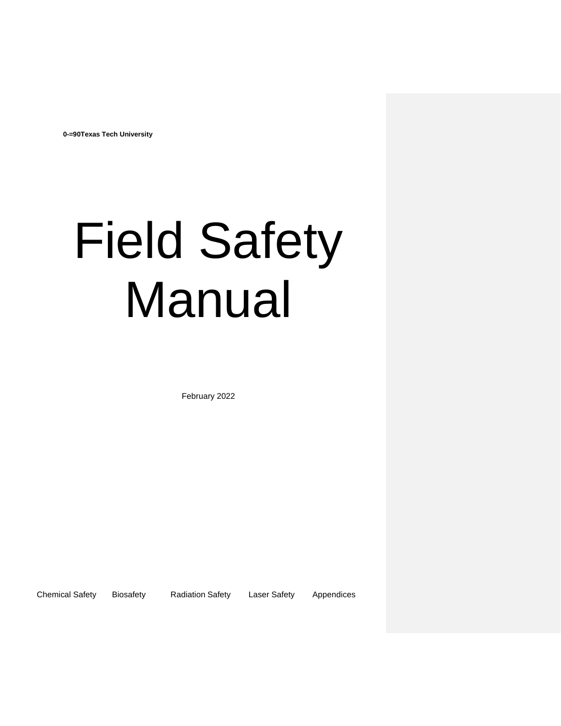**0-=90Texas Tech University**

# Field Safety Manual

February 2022

Chemical Safety Biosafety Radiation Safety Laser Safety Appendices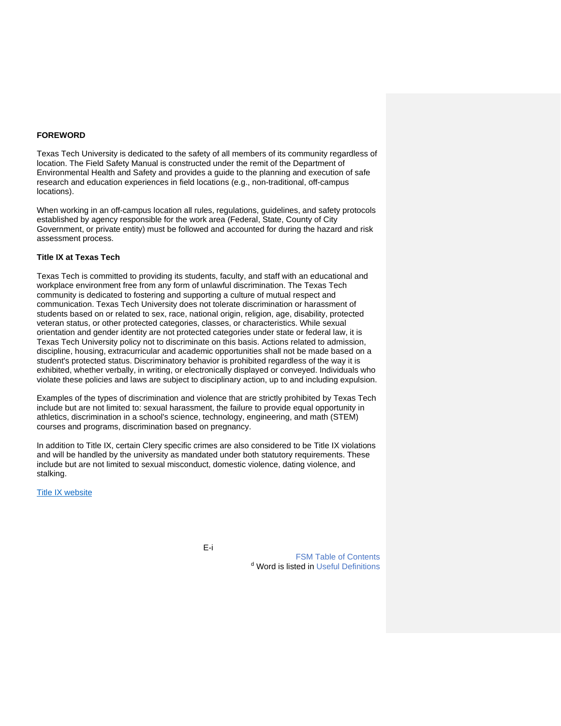#### **FOREWORD**

Texas Tech University is dedicated to the safety of all members of its community regardless of location. The Field Safety Manual is constructed under the remit of the Department of Environmental Health and Safety and provides a guide to the planning and execution of safe research and education experiences in field locations (e.g., non-traditional, off-campus locations).

When working in an off-campus location all rules, regulations, guidelines, and safety protocols established by agency responsible for the work area (Federal, State, County of City Government, or private entity) must be followed and accounted for during the hazard and risk assessment process.

#### **Title IX at Texas Tech**

Texas Tech is committed to providing its students, faculty, and staff with an educational and workplace environment free from any form of unlawful discrimination. The Texas Tech community is dedicated to fostering and supporting a culture of mutual respect and communication. Texas Tech University does not tolerate discrimination or harassment of students based on or related to sex, race, national origin, religion, age, disability, protected veteran status, or other protected categories, classes, or characteristics. While sexual orientation and gender identity are not protected categories under state or federal law, it is Texas Tech University policy not to discriminate on this basis. Actions related to admission, discipline, housing, extracurricular and academic opportunities shall not be made based on a student's protected status. Discriminatory behavior is prohibited regardless of the way it is exhibited, whether verbally, in writing, or electronically displayed or conveyed. Individuals who violate these policies and laws are subject to disciplinary action, up to and including expulsion.

Examples of the types of discrimination and violence that are strictly prohibited by Texas Tech include but are not limited to: sexual harassment, the failure to provide equal opportunity in athletics, discrimination in a school's science, technology, engineering, and math (STEM) courses and programs, discrimination based on pregnancy.

In addition to Title IX, certain Clery specific crimes are also considered to be Title IX violations and will be handled by the university as mandated under both statutory requirements. These include but are not limited to sexual misconduct, domestic violence, dating violence, and stalking.

[Title IX website](https://www.depts.ttu.edu/titleix/)

E-i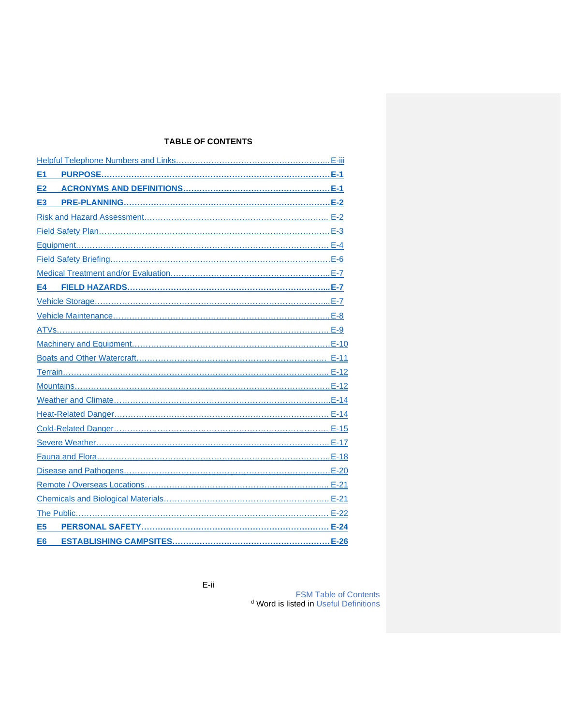## **TABLE OF CONTENTS**

| E <sub>1</sub> |
|----------------|
|                |
| E3             |
|                |
|                |
|                |
|                |
|                |
|                |
|                |
|                |
|                |
|                |
|                |
|                |
|                |
|                |
|                |
|                |
|                |
|                |
|                |
|                |
|                |
|                |
| E <sub>5</sub> |
| E <sub>6</sub> |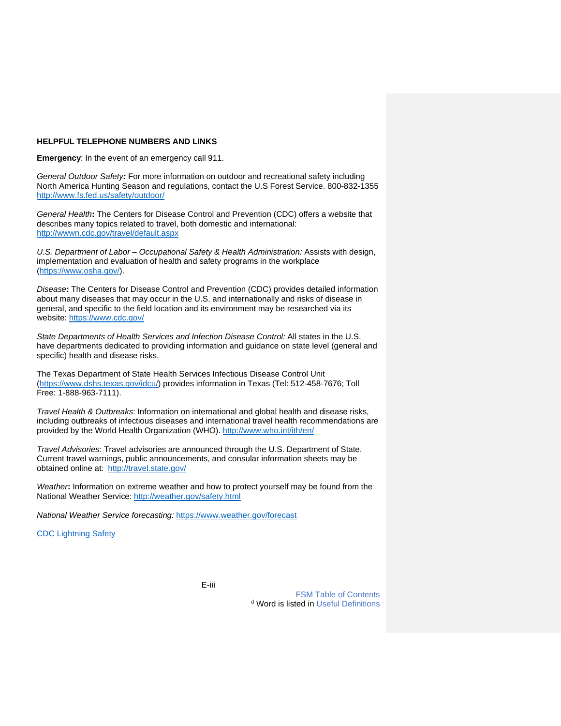#### <span id="page-3-0"></span>**HELPFUL TELEPHONE NUMBERS AND LINKS**

**Emergency**: In the event of an emergency call 911.

*General Outdoor Safety:* For more information on outdoor and recreational safety including North America Hunting Season and regulations, contact the U.S Forest Service. 800-832-1355 <http://www.fs.fed.us/safety/outdoor/>

*General Health***:** The Centers for Disease Control and Prevention (CDC) offers a website that describes many topics related to travel, both domestic and international: <http://wwwn.cdc.gov/travel/default.aspx>

*U.S. Department of Labor – Occupational Safety & Health Administration:* Assists with design, implementation and evaluation of health and safety programs in the workplace [\(https://www.osha.gov/\)](https://www.osha.gov/).

*Disease***:** The Centers for Disease Control and Prevention (CDC) provides detailed information about many diseases that may occur in the U.S. and internationally and risks of disease in general, and specific to the field location and its environment may be researched via its website:<https://www.cdc.gov/>

*State Departments of Health Services and Infection Disease Control:* All states in the U.S. have departments dedicated to providing information and guidance on state level (general and specific) health and disease risks.

The Texas Department of State Health Services Infectious Disease Control Unit [\(https://www.dshs.texas.gov/idcu/\)](https://www.dshs.texas.gov/idcu/) provides information in Texas (Tel: 512-458-7676; Toll Free: 1-888-963-7111).

*Travel Health & Outbreaks*: Information on international and global health and disease risks, including outbreaks of infectious diseases and international travel health recommendations are provided by the World Health Organization (WHO).<http://www.who.int/ith/en/>

*Travel Advisories*: Travel advisories are announced through the U.S. Department of State. Current travel warnings, public announcements, and consular information sheets may be obtained online at: <http://travel.state.gov/>

*Weather***:** Information on extreme weather and how to protect yourself may be found from the National Weather Service:<http://weather.gov/safety.html>

*National Weather Service forecasting:* <https://www.weather.gov/forecast>

<span id="page-3-1"></span>[CDC Lightning Safety](https://www.cdc.gov/nceh/features/lightning-safety/index.html)

E-iii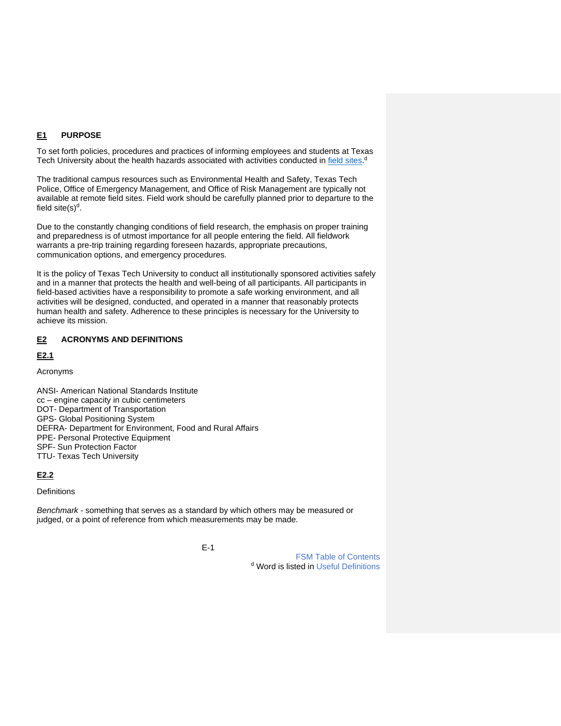#### **E1 PURPOSE**

To set forth policies, procedures and practices of informing employees and students at Texas Tech University about the health hazards associated with activities conducted in [field sites.](#page-5-0)<sup>d</sup>

The traditional campus resources such as Environmental Health and Safety, Texas Tech Police, Office of Emergency Management, and Office of Risk Management are typically not available at remote field sites. Field work should be carefully planned prior to departure to the field site(s)<sup>d</sup>.

Due to the constantly changing conditions of field research, the emphasis on proper training and preparedness is of utmost importance for all people entering the field. All fieldwork warrants a pre-trip training regarding foreseen hazards, appropriate precautions, communication options, and emergency procedures.

It is the policy of Texas Tech University to conduct all institutionally sponsored activities safely and in a manner that protects the health and well-being of all participants. All participants in field-based activities have a responsibility to promote a safe working environment, and all activities will be designed, conducted, and operated in a manner that reasonably protects human health and safety. Adherence to these principles is necessary for the University to achieve its mission.

#### <span id="page-4-0"></span>**E2 ACRONYMS AND DEFINITIONS**

## **E2.1**

Acronyms

ANSI- American National Standards Institute cc – engine capacity in cubic centimeters DOT- Department of Transportation GPS- Global Positioning System DEFRA- Department for Environment, Food and Rural Affairs PPE- Personal Protective Equipment SPF- Sun Protection Factor TTU- Texas Tech University

## <span id="page-4-1"></span>**E2.2**

**Definitions** 

*Benchmark -* something that serves as a standard by which others may be measured or judged, or a point of reference from which measurements may be made.

E-1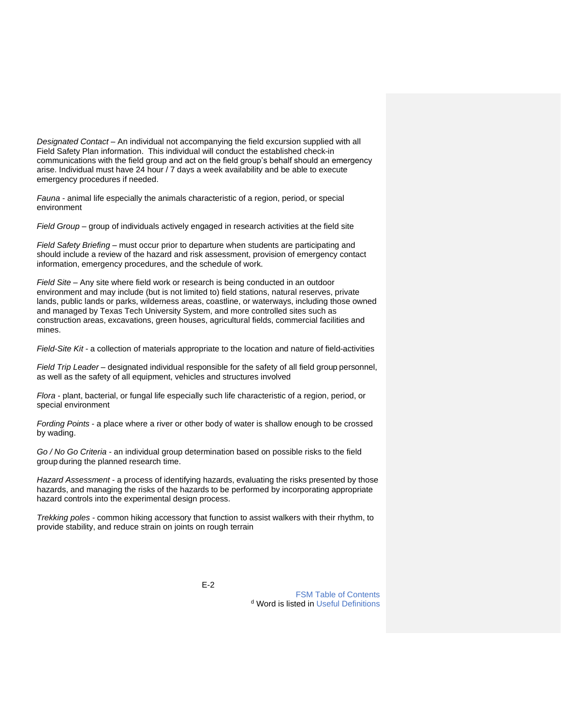*Designated Contact* – An individual not accompanying the field excursion supplied with all Field Safety Plan information. This individual will conduct the established check-in communications with the field group and act on the field group's behalf should an emergency arise. Individual must have 24 hour / 7 days a week availability and be able to execute emergency procedures if needed.

<span id="page-5-10"></span>*Fauna* - animal life especially the animals characteristic of a region, period, or special environment

<span id="page-5-4"></span>*Field Group* – group of individuals actively engaged in research activities at the field site

<span id="page-5-6"></span>*Field Safety Briefing* – must occur prior to departure when students are participating and should include a review of the hazard and risk assessment, provision of emergency contact information, emergency procedures, and the schedule of work.

<span id="page-5-0"></span>*Field Site* – Any site where field work or research is being conducted in an outdoor environment and may include (but is not limited to) field stations, natural reserves, private lands, public lands or parks, wilderness areas, coastline, or waterways, including those owned and managed by Texas Tech University System, and more controlled sites such as construction areas, excavations, green houses, agricultural fields, commercial facilities and mines.

<span id="page-5-5"></span>*Field-Site Kit -* a collection of materials appropriate to the location and nature of field-activities

<span id="page-5-2"></span>*Field Trip Leader* – designated individual responsible for the safety of all field group personnel, as well as the safety of all equipment, vehicles and structures involved

<span id="page-5-9"></span>*Flora* - plant, bacterial, or fungal life especially such life characteristic of a region, period, or special environment

<span id="page-5-8"></span>*Fording Points* - a place where a river or other body of water is shallow enough to be crossed by wading.

<span id="page-5-3"></span>*Go / No Go Criteria* - an individual group determination based on possible risks to the field group during the planned research time.

<span id="page-5-1"></span>*Hazard Assessment* - a process of identifying hazards, evaluating the risks presented by those hazards, and managing the risks of the hazards to be performed by incorporating appropriate hazard controls into the experimental design process.

<span id="page-5-7"></span>*Trekking poles* - common hiking accessory that function to assist walkers with their rhythm, to provide stability, and reduce strain on joints on rough terrain

E-2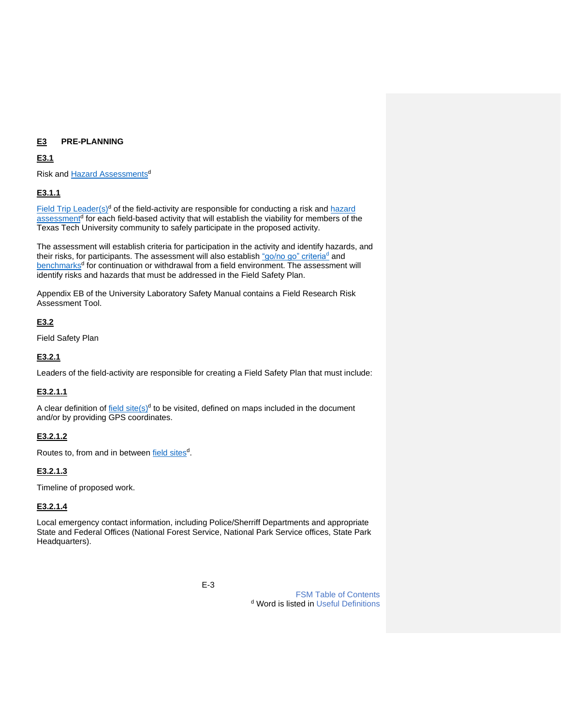## <span id="page-6-0"></span>**E3 PRE-PLANNING**

## **E3.1**

Risk and <u>Hazard Assessments</u><sup>d</sup>

# **E3.1.1**

[Field Trip Leader\(s\)](#page-5-2)<sup>d</sup> of the field-activity are responsible for conducting a risk and hazard [assessment](#page-5-1)<sup>d</sup> for each field-based activity that will establish the viability for members of the Texas Tech University community to safely participate in the proposed activity.

<span id="page-6-2"></span>The assessment will establish criteria for participation in the activity and identify hazards, and their risks, for participants. The assessment will also establish ["go/no go" criteria](#page-5-3)<sup>d</sup> and [benchmarks](#page-6-2)<sup>d</sup> for continuation or withdrawal from a field environment. The assessment will identify risks and hazards that must be addressed in the Field Safety Plan.

Appendix EB of the University Laboratory Safety Manual contains a Field Research Risk Assessment Tool.

# <span id="page-6-1"></span>**E3.2**

Field Safety Plan

# **E3.2.1**

Leaders of the field-activity are responsible for creating a Field Safety Plan that must include:

## **E3.2.1.1**

A clear definition of  $\frac{\text{field site}(s)^d}{dt}$  to be visited, defined on maps included in the document and/or by providing GPS coordinates.

# **E3.2.1.2**

Routes to, from and in between [field sites](#page-5-0)<sup>d</sup>.

# **E3.2.1.3**

Timeline of proposed work.

## **E3.2.1.4**

Local emergency contact information, including Police/Sherriff Departments and appropriate State and Federal Offices (National Forest Service, National Park Service offices, State Park Headquarters).

E-3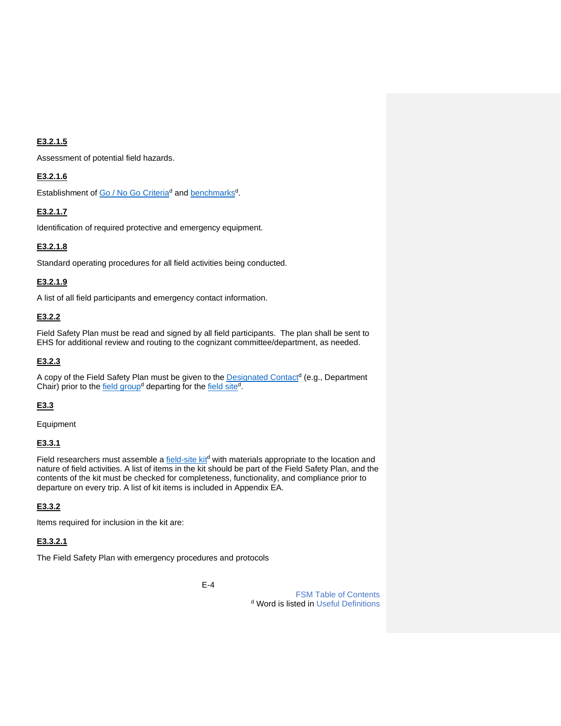## **E3.2.1.5**

Assessment of potential field hazards.

## **E3.2.1.6**

Establishment of [Go / No Go Criteria](#page-5-3)<sup>d</sup> and [benchmarks](#page-6-2)<sup>d</sup>.

## **E3.2.1.7**

Identification of required protective and emergency equipment.

## **E3.2.1.8**

Standard operating procedures for all field activities being conducted.

## **E3.2.1.9**

A list of all field participants and emergency contact information.

## **E3.2.2**

Field Safety Plan must be read and signed by all field participants. The plan shall be sent to EHS for additional review and routing to the cognizant committee/department, as needed.

## **E3.2.3**

A copy of the Field Safety Plan must be given to th[e Designated Contact](#page-4-1)<sup>d</sup> (e.g., Department Chair) prior to the [field group](#page-5-4)<sup>d</sup> departing for the [field site](#page-5-0)<sup>d</sup>.

## **E3.3**

<span id="page-7-0"></span>Equipment

#### **E3.3.1**

Field researchers must assemble a [field-site kit](#page-5-5)<sup>d</sup> with materials appropriate to the location and nature of field activities. A list of items in the kit should be part of the Field Safety Plan, and the contents of the kit must be checked for completeness, functionality, and compliance prior to departure on every trip. A list of kit items is included in Appendix EA.

#### **E3.3.2**

Items required for inclusion in the kit are:

#### **E3.3.2.1**

The Field Safety Plan with emergency procedures and protocols

E-4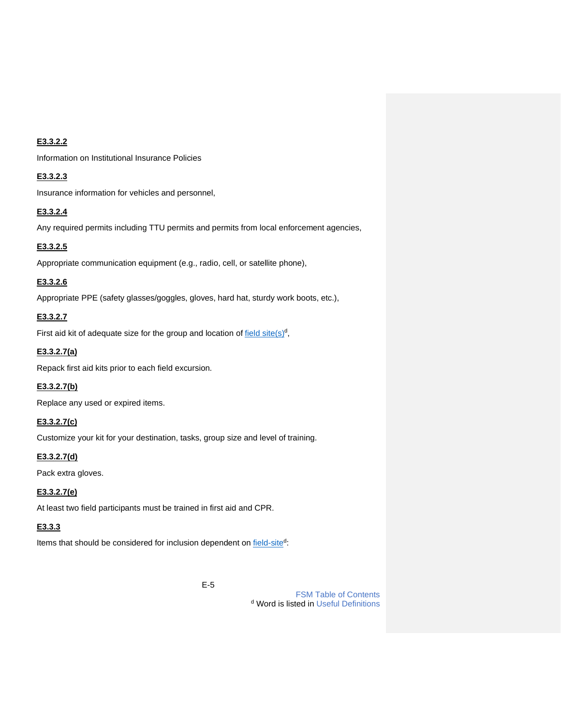## **E3.3.2.2**

Information on Institutional Insurance Policies

#### **E3.3.2.3**

Insurance information for vehicles and personnel,

## **E3.3.2.4**

Any required permits including TTU permits and permits from local enforcement agencies,

## **E3.3.2.5**

Appropriate communication equipment (e.g., radio, cell, or satellite phone),

## **E3.3.2.6**

Appropriate PPE (safety glasses/goggles, gloves, hard hat, sturdy work boots, etc.),

## **E3.3.2.7**

First aid kit of adequate size for the group and location o[f field site\(s\)](#page-5-0)<sup>d</sup>,

#### **E3.3.2.7(a)**

Repack first aid kits prior to each field excursion.

#### **E3.3.2.7(b)**

Replace any used or expired items.

#### **E3.3.2.7(c)**

Customize your kit for your destination, tasks, group size and level of training.

#### **E3.3.2.7(d)**

Pack extra gloves.

## **E3.3.2.7(e)**

At least two field participants must be trained in first aid and CPR.

# **E3.3.3**

Items that should be considered for inclusion dependent on [field-site](#page-5-0)d.

E-5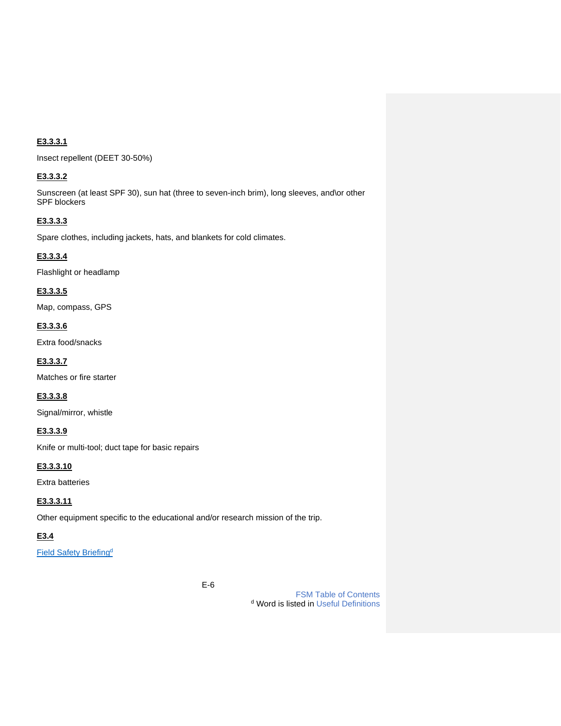# **E3.3.3.1**

Insect repellent (DEET 30-50%)

## **E3.3.3.2**

Sunscreen (at least SPF 30), sun hat (three to seven-inch brim), long sleeves, and\or other SPF blockers

## **E3.3.3.3**

Spare clothes, including jackets, hats, and blankets for cold climates.

## **E3.3.3.4**

Flashlight or headlamp

**E3.3.3.5**

Map, compass, GPS

## **E3.3.3.6**

Extra food/snacks

**E3.3.3.7** Matches or fire starter

**E3.3.3.8**

Signal/mirror, whistle

**E3.3.3.9** Knife or multi-tool; duct tape for basic repairs

**E3.3.3.10**

Extra batteries

## **E3.3.3.11**

Other equipment specific to the educational and/or research mission of the trip.

# <span id="page-9-0"></span>**E3.4**

**[Field Safety Briefing](#page-5-6)d** 

E-6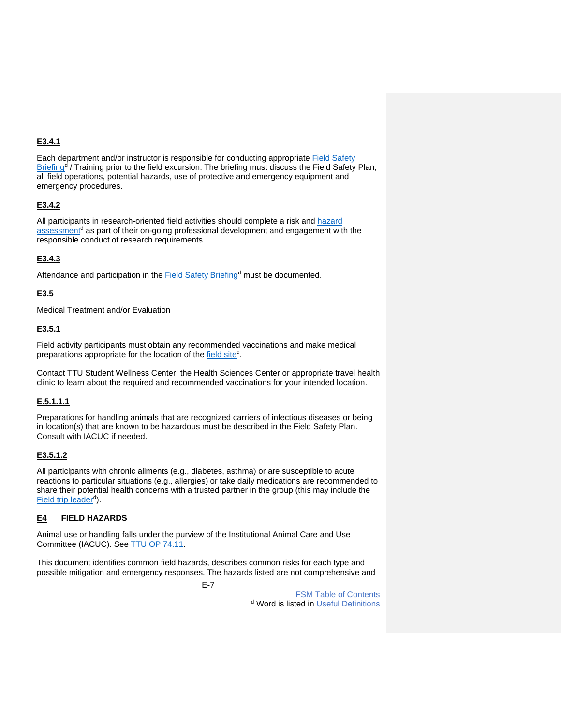# **E3.4.1**

Each department and/or instructor is responsible for conducting appropriate [Field Safety](#page-5-6)  [Briefing](#page-5-6)<sup>d</sup> / Training prior to the field excursion. The briefing must discuss the Field Safety Plan, all field operations, potential hazards, use of protective and emergency equipment and emergency procedures.

# **E3.4.2**

All participants in research-oriented field activities should complete a risk an[d hazard](#page-5-1) [assessment](#page-5-1)<sup>d</sup> as part of their on-going professional development and engagement with the responsible conduct of research requirements.

# **E3.4.3**

Attendance and participation in the [Field Safety Briefing](#page-5-6)<sup>d</sup> must be documented.

# <span id="page-10-0"></span>**E3.5**

Medical Treatment and/or Evaluation

## **E3.5.1**

Field activity participants must obtain any recommended vaccinations and make medical preparations appropriate for the location of the [field site](#page-5-0)d.

Contact TTU Student Wellness Center, the Health Sciences Center or appropriate travel health clinic to learn about the required and recommended vaccinations for your intended location.

## **E.5.1.1.1**

Preparations for handling animals that are recognized carriers of infectious diseases or being in location(s) that are known to be hazardous must be described in the Field Safety Plan. Consult with IACUC if needed.

#### **E3.5.1.2**

All participants with chronic ailments (e.g., diabetes, asthma) or are susceptible to acute reactions to particular situations (e.g., allergies) or take daily medications are recommended to share their potential health concerns with a trusted partner in the group (this may include the [Field trip leader](#page-5-2)<sup>d</sup>).

#### <span id="page-10-1"></span>**E4 FIELD HAZARDS**

Animal use or handling falls under the purview of the Institutional Animal Care and Use Committee (IACUC). See [TTU OP 74.11.](https://www.depts.ttu.edu/opmanual/OP74.11.pdf)

This document identifies common field hazards, describes common risks for each type and possible mitigation and emergency responses. The hazards listed are not comprehensive and

E-7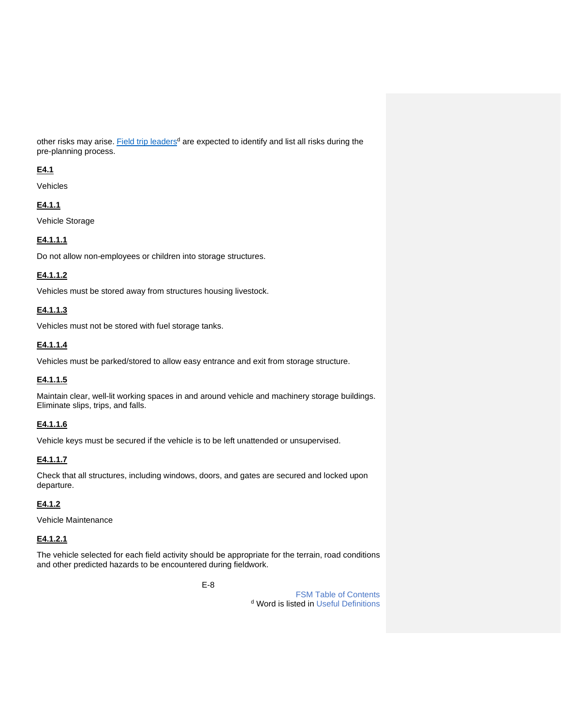other risks may arise. [Field trip leaders](#page-5-2)<sup>d</sup> are expected to identify and list all risks during the pre-planning process.

## <span id="page-11-0"></span>**E4.1**

Vehicles

# **E4.1.1**

Vehicle Storage

# **E4.1.1.1**

Do not allow non-employees or children into storage structures.

# **E4.1.1.2**

Vehicles must be stored away from structures housing livestock.

# **E4.1.1.3**

Vehicles must not be stored with fuel storage tanks.

# **E4.1.1.4**

Vehicles must be parked/stored to allow easy entrance and exit from storage structure.

# **E4.1.1.5**

Maintain clear, well-lit working spaces in and around vehicle and machinery storage buildings. Eliminate slips, trips, and falls.

## **E4.1.1.6**

Vehicle keys must be secured if the vehicle is to be left unattended or unsupervised.

## **E4.1.1.7**

Check that all structures, including windows, doors, and gates are secured and locked upon departure.

# <span id="page-11-1"></span>**E4.1.2**

Vehicle Maintenance

## **E4.1.2.1**

The vehicle selected for each field activity should be appropriate for the terrain, road conditions and other predicted hazards to be encountered during fieldwork.

E-8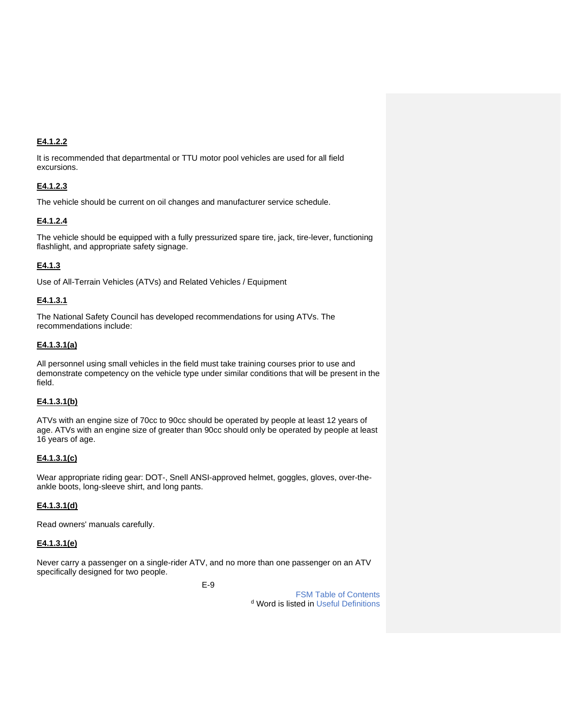## **E4.1.2.2**

It is recommended that departmental or TTU motor pool vehicles are used for all field excursions.

## **E4.1.2.3**

The vehicle should be current on oil changes and manufacturer service schedule.

## **E4.1.2.4**

The vehicle should be equipped with a fully pressurized spare tire, jack, tire-lever, functioning flashlight, and appropriate safety signage.

## <span id="page-12-0"></span>**E4.1.3**

Use of All-Terrain Vehicles (ATVs) and Related Vehicles / Equipment

## **E4.1.3.1**

The National Safety Council has developed recommendations for using ATVs. The recommendations include:

#### **E4.1.3.1(a)**

All personnel using small vehicles in the field must take training courses prior to use and demonstrate competency on the vehicle type under similar conditions that will be present in the field.

#### **E4.1.3.1(b)**

ATVs with an engine size of 70cc to 90cc should be operated by people at least 12 years of age. ATVs with an engine size of greater than 90cc should only be operated by people at least 16 years of age.

#### **E4.1.3.1(c)**

Wear appropriate riding gear: DOT-, Snell ANSI-approved helmet, goggles, gloves, over-theankle boots, long-sleeve shirt, and long pants.

#### **E4.1.3.1(d)**

Read owners' manuals carefully.

#### **E4.1.3.1(e)**

Never carry a passenger on a single-rider ATV, and no more than one passenger on an ATV specifically designed for two people.

E-9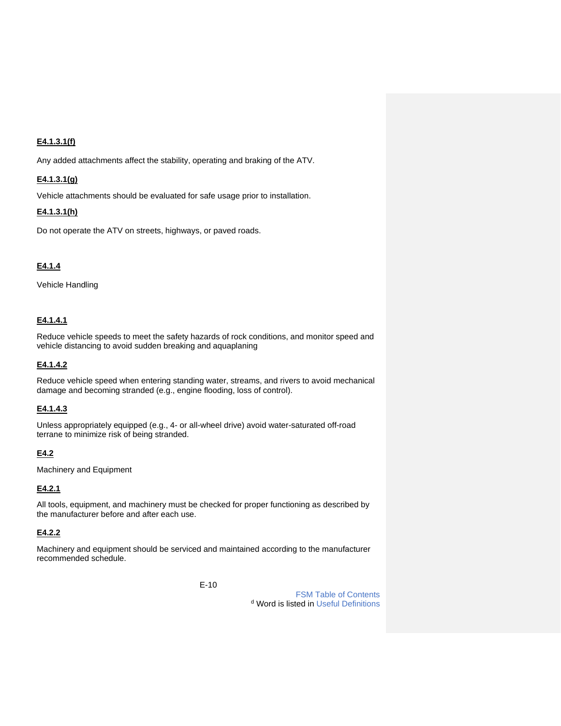#### **E4.1.3.1(f)**

Any added attachments affect the stability, operating and braking of the ATV.

#### **E4.1.3.1(g)**

Vehicle attachments should be evaluated for safe usage prior to installation.

#### **E4.1.3.1(h)**

Do not operate the ATV on streets, highways, or paved roads.

## **E4.1.4**

Vehicle Handling

## **E4.1.4.1**

Reduce vehicle speeds to meet the safety hazards of rock conditions, and monitor speed and vehicle distancing to avoid sudden breaking and aquaplaning

#### **E4.1.4.2**

Reduce vehicle speed when entering standing water, streams, and rivers to avoid mechanical damage and becoming stranded (e.g., engine flooding, loss of control).

#### **E4.1.4.3**

Unless appropriately equipped (e.g., 4- or all-wheel drive) avoid water-saturated off-road terrane to minimize risk of being stranded.

## <span id="page-13-0"></span>**E4.2**

Machinery and Equipment

#### **E4.2.1**

All tools, equipment, and machinery must be checked for proper functioning as described by the manufacturer before and after each use.

#### **E4.2.2**

Machinery and equipment should be serviced and maintained according to the manufacturer recommended schedule.

E-10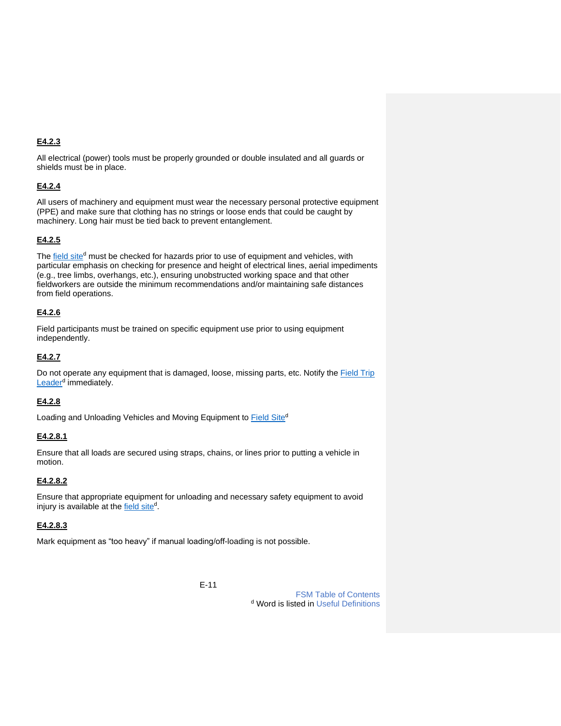# **E4.2.3**

All electrical (power) tools must be properly grounded or double insulated and all guards or shields must be in place.

## **E4.2.4**

All users of machinery and equipment must wear the necessary personal protective equipment (PPE) and make sure that clothing has no strings or loose ends that could be caught by machinery. Long hair must be tied back to prevent entanglement.

# **E4.2.5**

The [field](#page-5-0) site<sup>d</sup> must be checked for hazards prior to use of equipment and vehicles, with particular emphasis on checking for presence and height of electrical lines, aerial impediments (e.g., tree limbs, overhangs, etc.), ensuring unobstructed working space and that other fieldworkers are outside the minimum recommendations and/or maintaining safe distances from field operations.

## **E4.2.6**

Field participants must be trained on specific equipment use prior to using equipment independently.

## **E4.2.7**

Do not operate any equipment that is damaged, loose, missing parts, etc. Notify the Field Trip [Leader](#page-5-2)<sup>d</sup> immediately.

## **E4.2.8**

Loading and Unloading Vehicles and Moving Equipment to [Field Site](#page-5-0)d

## **E4.2.8.1**

Ensure that all loads are secured using straps, chains, or lines prior to putting a vehicle in motion.

#### **E4.2.8.2**

Ensure that appropriate equipment for unloading and necessary safety equipment to avoid injury is available at the **field site**<sup>d</sup>.

## **E4.2.8.3**

Mark equipment as "too heavy" if manual loading/off-loading is not possible.

E-11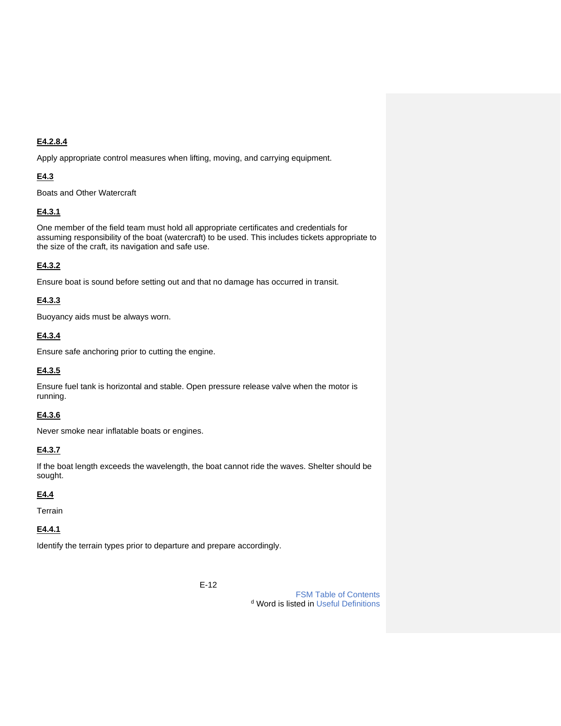# **E4.2.8.4**

Apply appropriate control measures when lifting, moving, and carrying equipment.

# <span id="page-15-0"></span>**E4.3**

Boats and Other Watercraft

# **E4.3.1**

One member of the field team must hold all appropriate certificates and credentials for assuming responsibility of the boat (watercraft) to be used. This includes tickets appropriate to the size of the craft, its navigation and safe use.

# **E4.3.2**

Ensure boat is sound before setting out and that no damage has occurred in transit.

# **E4.3.3**

Buoyancy aids must be always worn.

# **E4.3.4**

Ensure safe anchoring prior to cutting the engine.

## **E4.3.5**

Ensure fuel tank is horizontal and stable. Open pressure release valve when the motor is running.

## **E4.3.6**

Never smoke near inflatable boats or engines.

## **E4.3.7**

If the boat length exceeds the wavelength, the boat cannot ride the waves. Shelter should be sought.

## <span id="page-15-1"></span>**E4.4**

Terrain

## **E4.4.1**

Identify the terrain types prior to departure and prepare accordingly.

E-12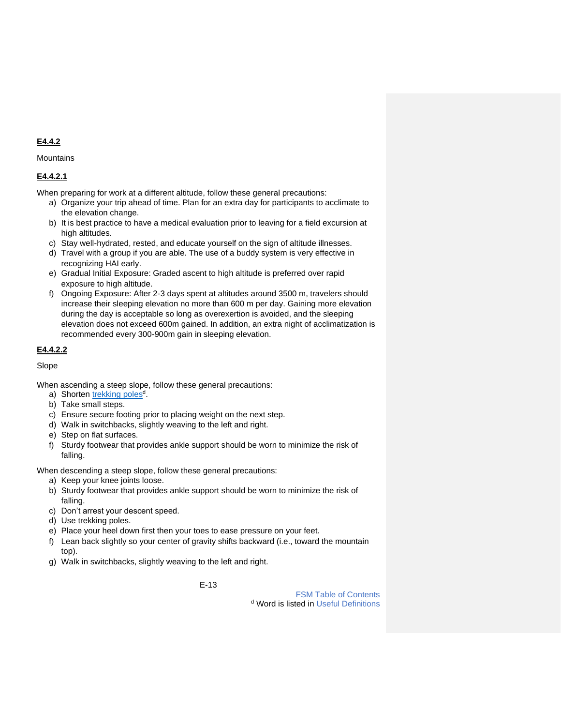# <span id="page-16-0"></span>**E4.4.2**

**Mountains** 

## **E4.4.2.1**

When preparing for work at a different altitude, follow these general precautions:

- a) Organize your trip ahead of time. Plan for an extra day for participants to acclimate to the elevation change.
- b) It is best practice to have a medical evaluation prior to leaving for a field excursion at high altitudes.
- c) Stay well-hydrated, rested, and educate yourself on the sign of altitude illnesses.
- d) Travel with a group if you are able. The use of a buddy system is very effective in recognizing HAI early.
- e) Gradual Initial Exposure: Graded ascent to high altitude is preferred over rapid exposure to high altitude.
- f) Ongoing Exposure: After 2-3 days spent at altitudes around 3500 m, travelers should increase their sleeping elevation no more than 600 m per day. Gaining more elevation during the day is acceptable so long as overexertion is avoided, and the sleeping elevation does not exceed 600m gained. In addition, an extra night of acclimatization is recommended every 300-900m gain in sleeping elevation.

## **E4.4.2.2**

Slope

When ascending a steep slope, follow these general precautions:

- a) Shorten [trekking poles](#page-5-7)<sup>d</sup>.
- b) Take small steps.
- c) Ensure secure footing prior to placing weight on the next step.
- d) Walk in switchbacks, slightly weaving to the left and right.
- e) Step on flat surfaces.
- f) Sturdy footwear that provides ankle support should be worn to minimize the risk of falling.

When descending a steep slope, follow these general precautions:

- a) Keep your knee joints loose.
- b) Sturdy footwear that provides ankle support should be worn to minimize the risk of falling.
- c) Don't arrest your descent speed.
- d) Use trekking poles.
- e) Place your heel down first then your toes to ease pressure on your feet.
- f) Lean back slightly so your center of gravity shifts backward (i.e., toward the mountain top).
- g) Walk in switchbacks, slightly weaving to the left and right.

E-13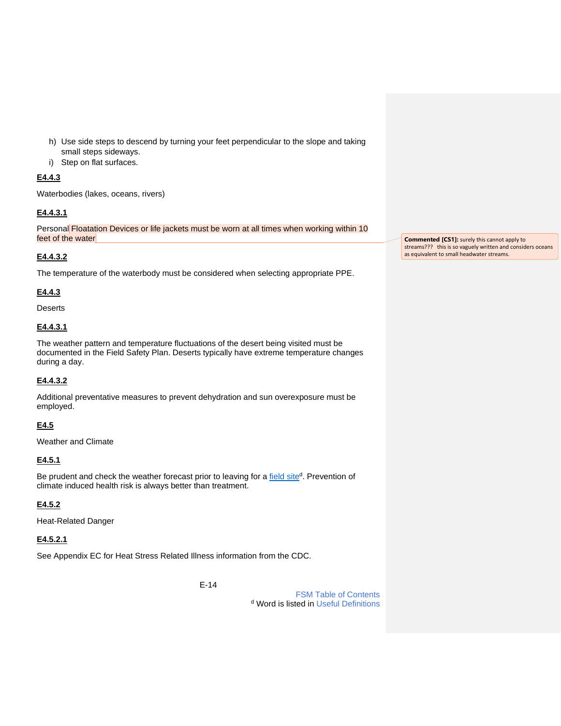- h) Use side steps to descend by turning your feet perpendicular to the slope and taking small steps sideways.
- i) Step on flat surfaces.

## **E4.4.3**

Waterbodies (lakes, oceans, rivers)

## **E4.4.3.1**

Personal Floatation Devices or life jackets must be worn at all times when working within 10 feet of the water

## **E4.4.3.2**

The temperature of the waterbody must be considered when selecting appropriate PPE.

## **E4.4.3**

**Deserts** 

## **E4.4.3.1**

The weather pattern and temperature fluctuations of the desert being visited must be documented in the Field Safety Plan. Deserts typically have extreme temperature changes during a day.

#### **E4.4.3.2**

Additional preventative measures to prevent dehydration and sun overexposure must be employed.

## <span id="page-17-0"></span>**E4.5**

Weather and Climate

#### **E4.5.1**

Be prudent and check the weather forecast prior to leaving for a *[field site](#page-5-0)<sup>d</sup>*. Prevention of climate induced health risk is always better than treatment.

# <span id="page-17-1"></span>**E4.5.2**

Heat-Related Danger

# **E4.5.2.1**

See Appendix EC for Heat Stress Related Illness information from the CDC.

E-14

FSM Table of Contents <sup>d</sup> Word is listed in Useful Definitions

**Commented [CS1]:** surely this cannot apply to streams??? this is so vaguely written and considers oceans as equivalent to small headwater streams.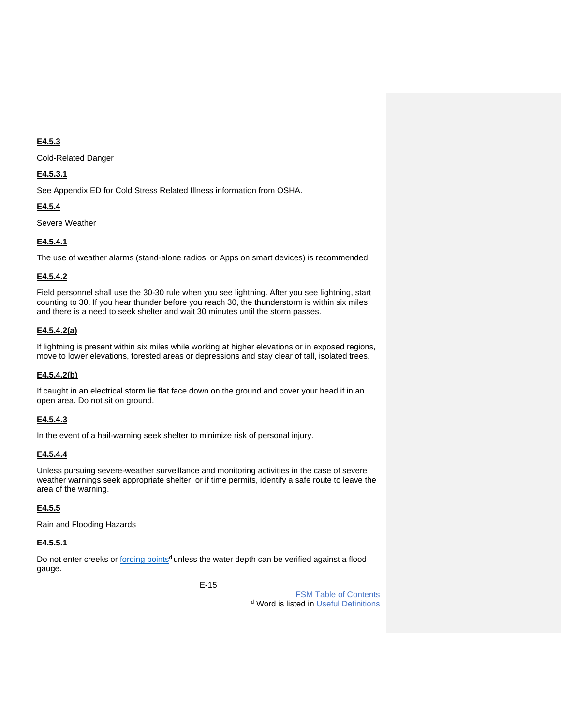## **E4.5.3**

Cold-Related Danger

## **E4.5.3.1**

See Appendix ED for Cold Stress Related Illness information from OSHA.

## **E4.5.4**

<span id="page-18-0"></span>Severe Weather

## **E4.5.4.1**

The use of weather alarms (stand-alone radios, or Apps on smart devices) is recommended.

## **E4.5.4.2**

Field personnel shall use the 30-30 rule when you see lightning. After you see lightning, start counting to 30. If you hear thunder before you reach 30, the thunderstorm is within six miles and there is a need to seek shelter and wait 30 minutes until the storm passes.

## **E4.5.4.2(a)**

If lightning is present within six miles while working at higher elevations or in exposed regions, move to lower elevations, forested areas or depressions and stay clear of tall, isolated trees.

#### **E4.5.4.2(b)**

If caught in an electrical storm lie flat face down on the ground and cover your head if in an open area. Do not sit on ground.

## **E4.5.4.3**

In the event of a hail-warning seek shelter to minimize risk of personal injury.

#### **E4.5.4.4**

Unless pursuing severe-weather surveillance and monitoring activities in the case of severe weather warnings seek appropriate shelter, or if time permits, identify a safe route to leave the area of the warning.

#### **E4.5.5**

Rain and Flooding Hazards

#### **E4.5.5.1**

Do not enter creeks or [fording points](#page-5-8)<sup>d</sup> unless the water depth can be verified against a flood gauge.

E-15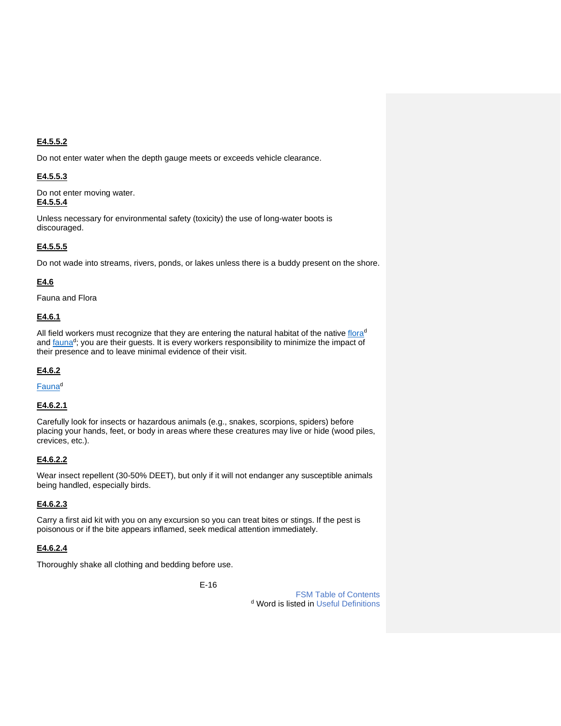## **E4.5.5.2**

Do not enter water when the depth gauge meets or exceeds vehicle clearance.

## **E4.5.5.3**

Do not enter moving water. **E4.5.5.4**

Unless necessary for environmental safety (toxicity) the use of long-water boots is discouraged.

## **E4.5.5.5**

Do not wade into streams, rivers, ponds, or lakes unless there is a buddy present on the shore.

## <span id="page-19-0"></span>**E4.6**

Fauna and Flora

#### **E4.6.1**

All field workers must recognize that they are entering the natural habitat of the native  $flora<sup>d</sup>$ and [fauna](#page-5-10)<sup>d</sup>; you are their guests. It is every workers responsibility to minimize the impact of their presence and to leave minimal evidence of their visit.

#### **E4.6.2**

**[Fauna](#page-5-10)d** 

#### **E4.6.2.1**

Carefully look for insects or hazardous animals (e.g., snakes, scorpions, spiders) before placing your hands, feet, or body in areas where these creatures may live or hide (wood piles, crevices, etc.).

#### **E4.6.2.2**

Wear insect repellent (30-50% DEET), but only if it will not endanger any susceptible animals being handled, especially birds.

#### **E4.6.2.3**

Carry a first aid kit with you on any excursion so you can treat bites or stings. If the pest is poisonous or if the bite appears inflamed, seek medical attention immediately.

#### **E4.6.2.4**

Thoroughly shake all clothing and bedding before use.

E-16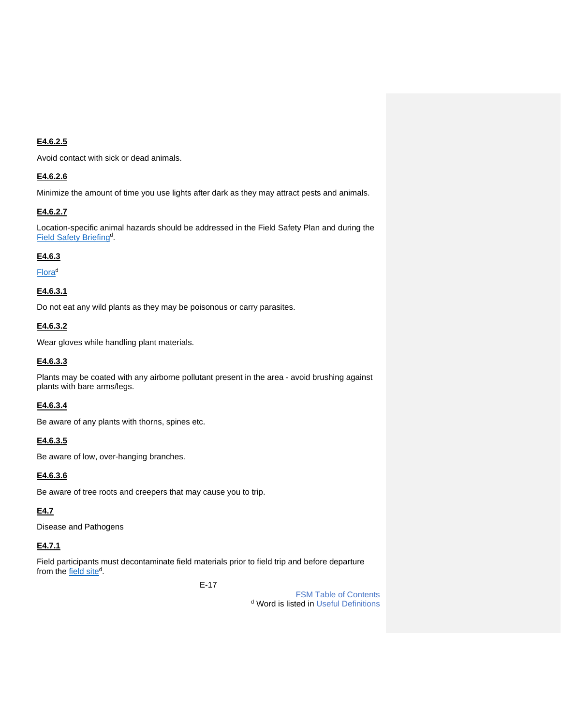## **E4.6.2.5**

Avoid contact with sick or dead animals.

## **E4.6.2.6**

Minimize the amount of time you use lights after dark as they may attract pests and animals.

#### **E4.6.2.7**

Location-specific animal hazards should be addressed in the Field Safety Plan and during the [Field Safety Briefing](#page-5-6)<sup>d</sup>.

#### **E4.6.3**

**[Flora](#page-5-9)d** 

## **E4.6.3.1**

Do not eat any wild plants as they may be poisonous or carry parasites.

## **E4.6.3.2**

Wear gloves while handling plant materials.

#### **E4.6.3.3**

Plants may be coated with any airborne pollutant present in the area - avoid brushing against plants with bare arms/legs.

#### **E4.6.3.4**

Be aware of any plants with thorns, spines etc.

## **E4.6.3.5**

Be aware of low, over-hanging branches.

## **E4.6.3.6**

Be aware of tree roots and creepers that may cause you to trip.

#### <span id="page-20-0"></span>**E4.7**

Disease and Pathogens

## **E4.7.1**

Field participants must decontaminate field materials prior to field trip and before departure from the [field site](#page-5-0)<sup>d</sup>.

E-17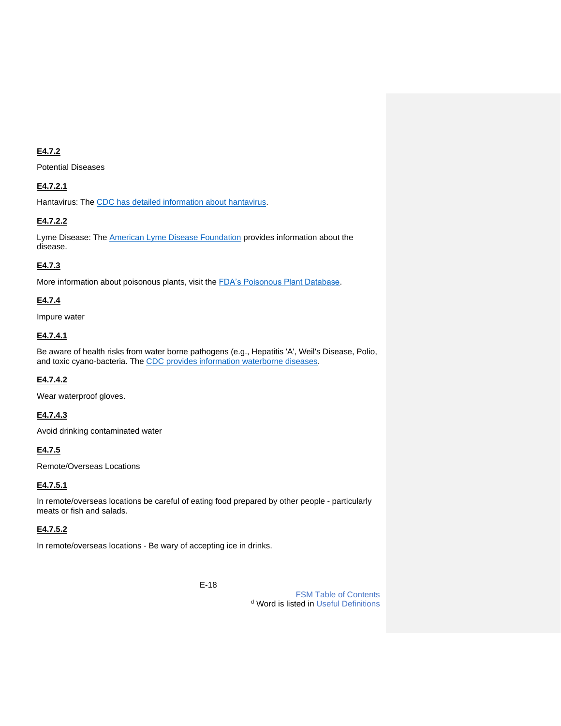## **E4.7.2**

Potential Diseases

## **E4.7.2.1**

Hantavirus: The [CDC has detailed information about hantavirus.](http://www.cdc.gov/ncidod/diseases/hanta/hps/noframes/genera%20linfoindex.htm)

## **E4.7.2.2**

Lyme Disease: The **American Lyme Disease Foundation** provides information about the disease.

## **E4.7.3**

More information about poisonous plants, visit the **FDA's Poisonous Plant Database**.

## **E4.7.4**

Impure water

## **E4.7.4.1**

Be aware of health risks from water borne pathogens (e.g., Hepatitis 'A', Weil's Disease, Polio, and toxic cyano-bacteria. The [CDC provides information waterborne diseases.](http://www.cdc.gov/healthywater/)

## **E4.7.4.2**

Wear waterproof gloves.

#### **E4.7.4.3**

Avoid drinking contaminated water

#### <span id="page-21-0"></span>**E4.7.5**

Remote/Overseas Locations

#### **E4.7.5.1**

In remote/overseas locations be careful of eating food prepared by other people - particularly meats or fish and salads.

## **E4.7.5.2**

In remote/overseas locations - Be wary of accepting ice in drinks.

E-18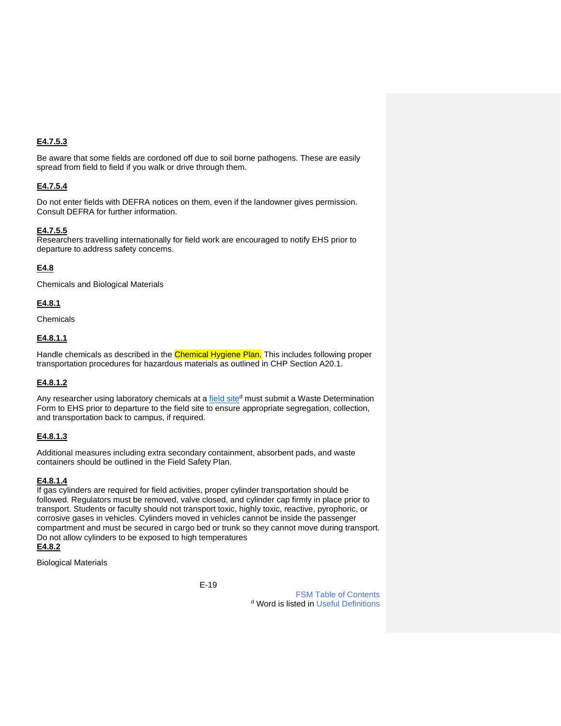## **E4.7.5.3**

Be aware that some fields are cordoned off due to soil borne pathogens. These are easily spread from field to field if you walk or drive through them.

## **E4.7.5.4**

Do not enter fields with DEFRA notices on them, even if the landowner gives permission. Consult DEFRA for further information.

#### **E4.7.5.5**

Researchers travelling internationally for field work are encouraged to notify EHS prior to departure to address safety concerns.

## <span id="page-22-0"></span>**E4.8**

Chemicals and Biological Materials

#### **E4.8.1**

**Chemicals** 

## **E4.8.1.1**

Handle chemicals as described in the Chemical Hygiene Plan. This includes following proper transportation procedures for hazardous materials as outlined in CHP Section A20.1.

## **E4.8.1.2**

Any researcher using laboratory chemicals at a [field site](#page-5-0)<sup>d</sup> must submit a Waste Determination Form to EHS prior to departure to the field site to ensure appropriate segregation, collection, and transportation back to campus, if required.

## **E4.8.1.3**

Additional measures including extra secondary containment, absorbent pads, and waste containers should be outlined in the Field Safety Plan.

#### **E4.8.1.4**

If gas cylinders are required for field activities, proper cylinder transportation should be followed. Regulators must be removed, valve closed, and cylinder cap firmly in place prior to transport. Students or faculty should not transport toxic, highly toxic, reactive, pyrophoric, or corrosive gases in vehicles. Cylinders moved in vehicles cannot be inside the passenger compartment and must be secured in cargo bed or trunk so they cannot move during transport. Do not allow cylinders to be exposed to high temperatures **E4.8.2**

Biological Materials

E-19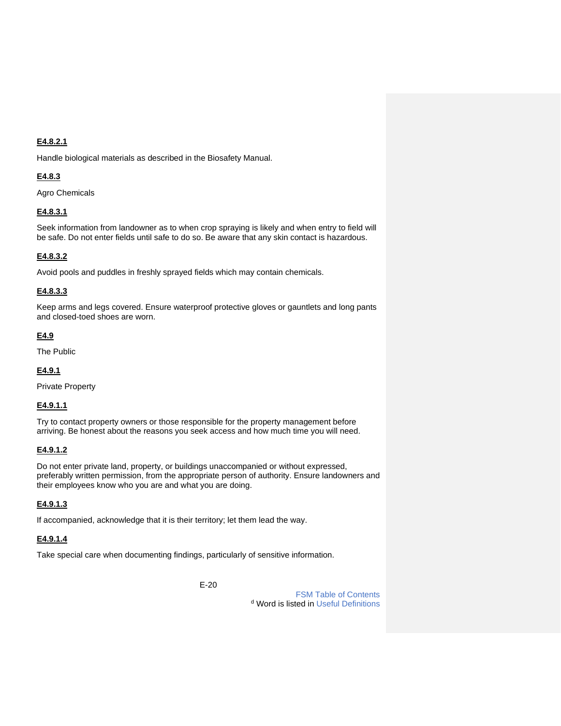## **E4.8.2.1**

Handle biological materials as described in the Biosafety Manual.

#### **E4.8.3**

Agro Chemicals

## **E4.8.3.1**

Seek information from landowner as to when crop spraying is likely and when entry to field will be safe. Do not enter fields until safe to do so. Be aware that any skin contact is hazardous.

#### **E4.8.3.2**

Avoid pools and puddles in freshly sprayed fields which may contain chemicals.

#### **E4.8.3.3**

Keep arms and legs covered. Ensure waterproof protective gloves or gauntlets and long pants and closed-toed shoes are worn.

## <span id="page-23-0"></span>**E4.9**

The Public

#### **E4.9.1**

Private Property

#### **E4.9.1.1**

Try to contact property owners or those responsible for the property management before arriving. Be honest about the reasons you seek access and how much time you will need.

#### **E4.9.1.2**

Do not enter private land, property, or buildings unaccompanied or without expressed, preferably written permission, from the appropriate person of authority. Ensure landowners and their employees know who you are and what you are doing.

#### **E4.9.1.3**

If accompanied, acknowledge that it is their territory; let them lead the way.

#### **E4.9.1.4**

Take special care when documenting findings, particularly of sensitive information.

E-20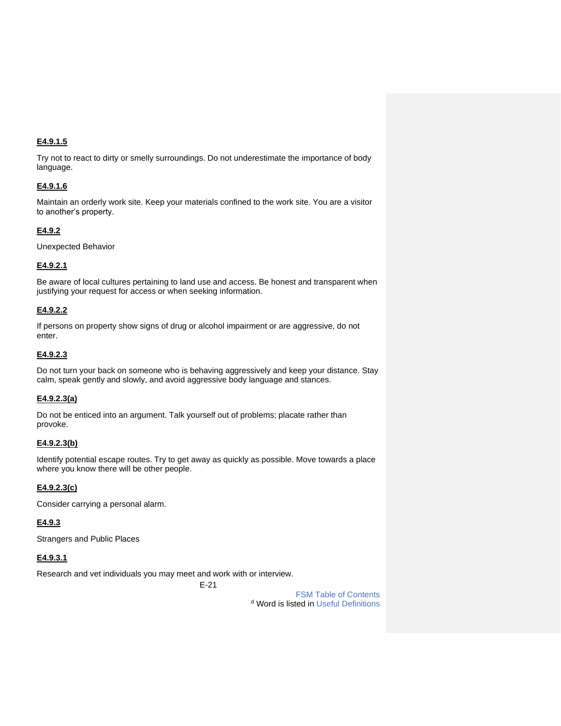## **E4.9.1.5**

Try not to react to dirty or smelly surroundings. Do not underestimate the importance of body language.

## **E4.9.1.6**

Maintain an orderly work site. Keep your materials confined to the work site. You are a visitor to another's property.

## **E4.9.2**

Unexpected Behavior

## **E4.9.2.1**

Be aware of local cultures pertaining to land use and access. Be honest and transparent when justifying your request for access or when seeking information.

## **E4.9.2.2**

If persons on property show signs of drug or alcohol impairment or are aggressive, do not enter.

## **E4.9.2.3**

Do not turn your back on someone who is behaving aggressively and keep your distance. Stay calm, speak gently and slowly, and avoid aggressive body language and stances.

#### **E4.9.2.3(a)**

Do not be enticed into an argument. Talk yourself out of problems; placate rather than provoke.

## **E4.9.2.3(b)**

Identify potential escape routes. Try to get away as quickly as possible. Move towards a place where you know there will be other people.

#### **E4.9.2.3(c)**

Consider carrying a personal alarm.

## **E4.9.3**

Strangers and Public Places

## **E4.9.3.1**

Research and vet individuals you may meet and work with or interview.

E-21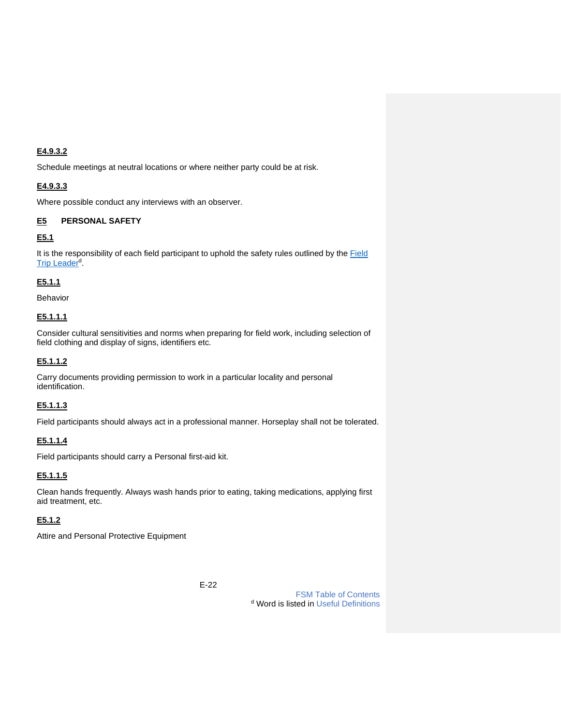#### **E4.9.3.2**

Schedule meetings at neutral locations or where neither party could be at risk.

## **E4.9.3.3**

Where possible conduct any interviews with an observer.

## <span id="page-25-0"></span>**E5 PERSONAL SAFETY**

## **E5.1**

It is the responsibility of each field participant to uphold the safety rules outlined by the [Field](#page-5-2)  [Trip Leader](#page-5-2)<sup>d</sup>.

## **E5.1.1**

Behavior

## **E5.1.1.1**

Consider cultural sensitivities and norms when preparing for field work, including selection of field clothing and display of signs, identifiers etc.

#### **E5.1.1.2**

Carry documents providing permission to work in a particular locality and personal identification.

#### **E5.1.1.3**

Field participants should always act in a professional manner. Horseplay shall not be tolerated.

## **E5.1.1.4**

Field participants should carry a Personal first-aid kit.

## **E5.1.1.5**

Clean hands frequently. Always wash hands prior to eating, taking medications, applying first aid treatment, etc.

## **E5.1.2**

Attire and Personal Protective Equipment

E-22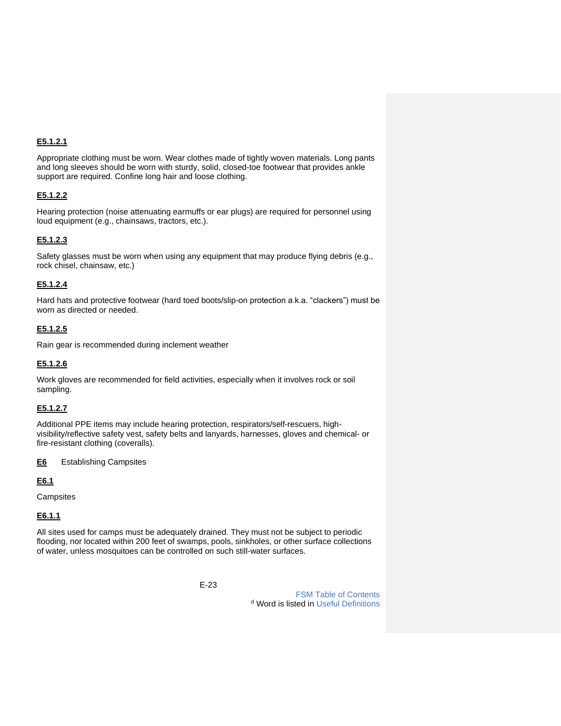## **E5.1.2.1**

Appropriate clothing must be worn. Wear clothes made of tightly woven materials. Long pants and long sleeves should be worn with sturdy, solid, closed-toe footwear that provides ankle support are required. Confine long hair and loose clothing.

#### **E5.1.2.2**

Hearing protection (noise attenuating earmuffs or ear plugs) are required for personnel using loud equipment (e.g., chainsaws, tractors, etc.).

#### **E5.1.2.3**

Safety glasses must be worn when using any equipment that may produce flying debris (e.g., rock chisel, chainsaw, etc.)

#### **E5.1.2.4**

Hard hats and protective footwear (hard toed boots/slip-on protection a.k.a. "clackers") must be worn as directed or needed.

#### **E5.1.2.5**

Rain gear is recommended during inclement weather

#### **E5.1.2.6**

Work gloves are recommended for field activities, especially when it involves rock or soil sampling.

#### **E5.1.2.7**

Additional PPE items may include hearing protection, respirators/self-rescuers, highvisibility/reflective safety vest, safety belts and lanyards, harnesses, gloves and chemical- or fire-resistant clothing (coveralls).

#### <span id="page-26-0"></span>**E6** Establishing Campsites

**E6.1**

**Campsites** 

#### **E6.1.1**

All sites used for camps must be adequately drained. They must not be subject to periodic flooding, nor located within 200 feet of swamps, pools, sinkholes, or other surface collections of water, unless mosquitoes can be controlled on such still-water surfaces.

E-23